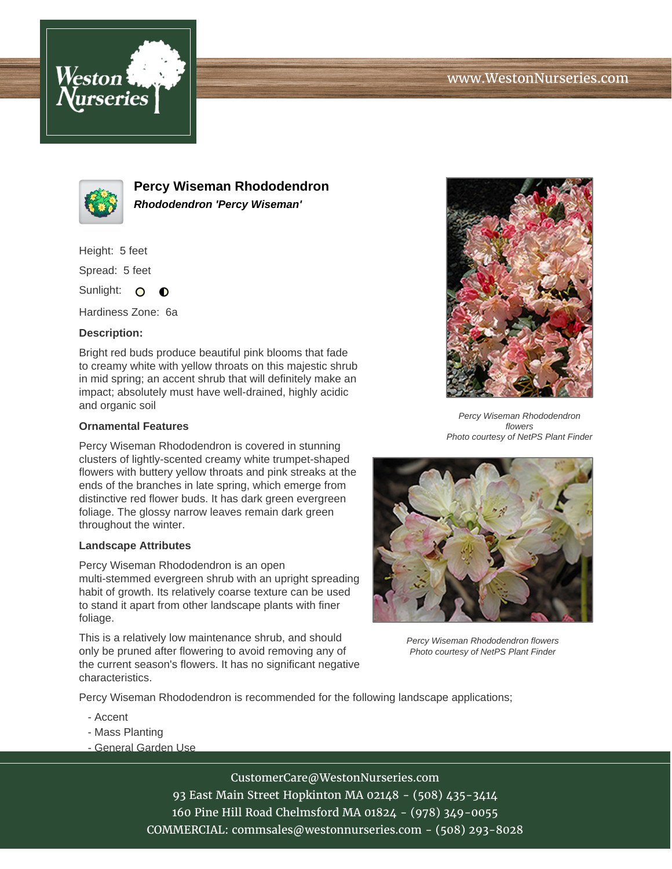



**Percy Wiseman Rhododendron Rhododendron 'Percy Wiseman'**

Height: 5 feet

Spread: 5 feet

Sunlight: O  $\bullet$ 

Hardiness Zone: 6a

## **Description:**

Bright red buds produce beautiful pink blooms that fade to creamy white with yellow throats on this majestic shrub in mid spring; an accent shrub that will definitely make an impact; absolutely must have well-drained, highly acidic and organic soil

## **Ornamental Features**

Percy Wiseman Rhododendron is covered in stunning clusters of lightly-scented creamy white trumpet-shaped flowers with buttery yellow throats and pink streaks at the ends of the branches in late spring, which emerge from distinctive red flower buds. It has dark green evergreen foliage. The glossy narrow leaves remain dark green throughout the winter.

## **Landscape Attributes**

Percy Wiseman Rhododendron is an open multi-stemmed evergreen shrub with an upright spreading habit of growth. Its relatively coarse texture can be used to stand it apart from other landscape plants with finer foliage.

This is a relatively low maintenance shrub, and should only be pruned after flowering to avoid removing any of the current season's flowers. It has no significant negative characteristics.



Percy Wiseman Rhododendron flowers Photo courtesy of NetPS Plant Finder



Percy Wiseman Rhododendron flowers Photo courtesy of NetPS Plant Finder

Percy Wiseman Rhododendron is recommended for the following landscape applications;

- Accent
- Mass Planting
- General Garden Use

CustomerCare@WestonNurseries.com 93 East Main Street Hopkinton MA 02148 - (508) 435-3414

160 Pine Hill Road Chelmsford MA 01824 - (978) 349-0055

COMMERCIAL: commsales@westonnurseries.com - (508) 293-8028